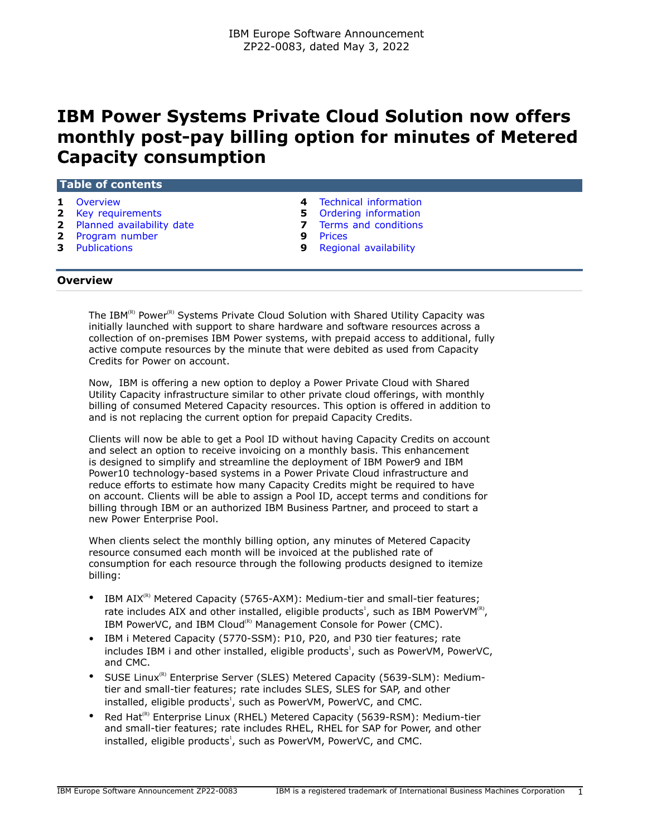# **IBM Power Systems Private Cloud Solution now offers monthly post-pay billing option for minutes of Metered Capacity consumption**

## **Table of contents**

- 
- **2** [Key requirements](#page-1-0) **5** [Ordering information](#page-4-0)
- **2** [Planned availability date](#page-1-1) **7** [Terms and conditions](#page-6-0)
- **2** [Program number](#page-1-2) **9** [Prices](#page-8-0)
- 
- **1** [Overview](#page-0-0) **4** [Technical information](#page-3-0)
	-
	-
	-
- **3** [Publications](#page-2-0) **9** [Regional availability](#page-8-1)

## <span id="page-0-0"></span>**Overview**

The IBM ${}^{\text{R}}$  Power ${}^{\text{R}}$  Systems Private Cloud Solution with Shared Utility Capacity was initially launched with support to share hardware and software resources across a collection of on-premises IBM Power systems, with prepaid access to additional, fully active compute resources by the minute that were debited as used from Capacity Credits for Power on account.

Now, IBM is offering a new option to deploy a Power Private Cloud with Shared Utility Capacity infrastructure similar to other private cloud offerings, with monthly billing of consumed Metered Capacity resources. This option is offered in addition to and is not replacing the current option for prepaid Capacity Credits.

Clients will now be able to get a Pool ID without having Capacity Credits on account and select an option to receive invoicing on a monthly basis. This enhancement is designed to simplify and streamline the deployment of IBM Power9 and IBM Power10 technology-based systems in a Power Private Cloud infrastructure and reduce efforts to estimate how many Capacity Credits might be required to have on account. Clients will be able to assign a Pool ID, accept terms and conditions for billing through IBM or an authorized IBM Business Partner, and proceed to start a new Power Enterprise Pool.

When clients select the monthly billing option, any minutes of Metered Capacity resource consumed each month will be invoiced at the published rate of consumption for each resource through the following products designed to itemize billing:

- IBM  $AIX^{(R)}$  Metered Capacity (5765-AXM): Medium-tier and small-tier features; rate includes AIX and other installed, eligible products<sup>1</sup>, such as IBM PowerVM<sup>(8)</sup>, IBM PowerVC, and IBM Cloud<sup>(R)</sup> Management Console for Power (CMC).
- IBM i Metered Capacity (5770-SSM): P10, P20, and P30 tier features; rate includes IBM i and other installed, eligible products<sup>1</sup>, such as PowerVM, PowerVC, and CMC.
- SUSE Linux<sup>(R)</sup> Enterprise Server (SLES) Metered Capacity (5639-SLM): Mediumtier and small-tier features; rate includes SLES, SLES for SAP, and other installed, eligible products<sup>1</sup>, such as PowerVM, PowerVC, and CMC.
- Red Hat<sup>(R)</sup> Enterprise Linux (RHEL) Metered Capacity (5639-RSM): Medium-tier and small-tier features; rate includes RHEL, RHEL for SAP for Power, and other installed, eligible products<sup>1</sup>, such as PowerVM, PowerVC, and CMC.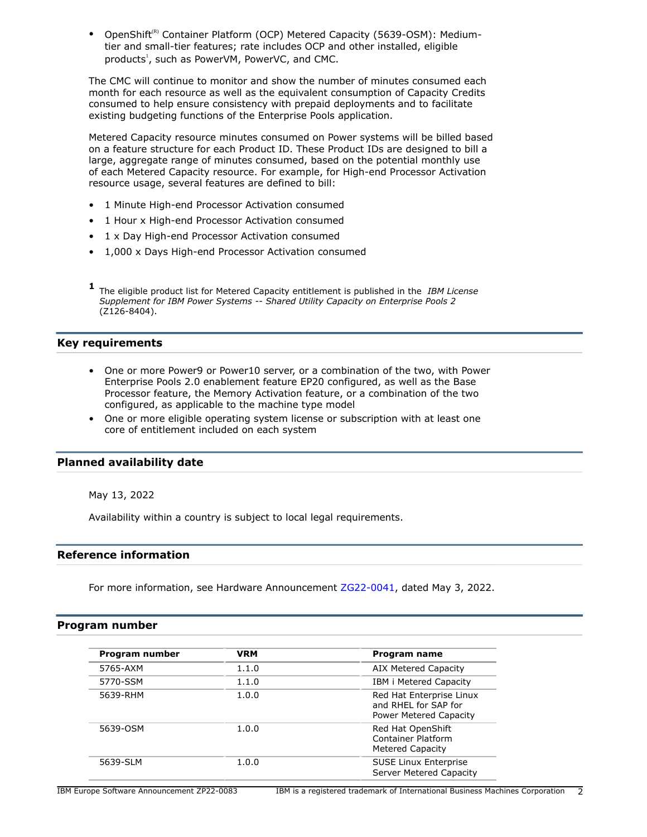OpenShift<sup>(R)</sup> Container Platform (OCP) Metered Capacity (5639-OSM): Mediumtier and small-tier features; rate includes OCP and other installed, eligible products<sup>1</sup>, such as PowerVM, PowerVC, and CMC.

The CMC will continue to monitor and show the number of minutes consumed each month for each resource as well as the equivalent consumption of Capacity Credits consumed to help ensure consistency with prepaid deployments and to facilitate existing budgeting functions of the Enterprise Pools application.

Metered Capacity resource minutes consumed on Power systems will be billed based on a feature structure for each Product ID. These Product IDs are designed to bill a large, aggregate range of minutes consumed, based on the potential monthly use of each Metered Capacity resource. For example, for High-end Processor Activation resource usage, several features are defined to bill:

- 1 Minute High-end Processor Activation consumed
- 1 Hour x High-end Processor Activation consumed
- 1 x Day High-end Processor Activation consumed
- 1,000 x Days High-end Processor Activation consumed
- **1** The eligible product list for Metered Capacity entitlement is published in the *IBM License Supplement for IBM Power Systems -- Shared Utility Capacity on Enterprise Pools 2* (Z126-8404).

# <span id="page-1-0"></span>**Key requirements**

- One or more Power9 or Power10 server, or a combination of the two, with Power Enterprise Pools 2.0 enablement feature EP20 configured, as well as the Base Processor feature, the Memory Activation feature, or a combination of the two configured, as applicable to the machine type model
- One or more eligible operating system license or subscription with at least one core of entitlement included on each system

# <span id="page-1-1"></span>**Planned availability date**

May 13, 2022

Availability within a country is subject to local legal requirements.

## **Reference information**

For more information, see Hardware Announcement [ZG22-0041,](http://www.ibm.com/common/ssi/cgi-bin/ssialias?infotype=an&subtype=ca&appname=gpateam&supplier=877&letternum=ENUSZG22-0041) dated May 3, 2022.

## <span id="page-1-2"></span>**Program number**

| Program number | <b>VRM</b> | Program name                                                               |
|----------------|------------|----------------------------------------------------------------------------|
| 5765-AXM       | 1.1.0      | AIX Metered Capacity                                                       |
| 5770-SSM       | 1.1.0      | IBM i Metered Capacity                                                     |
| 5639-RHM       | 1.0.0      | Red Hat Enterprise Linux<br>and RHEL for SAP for<br>Power Metered Capacity |
| 5639-OSM       | 1.0.0      | Red Hat OpenShift<br>Container Platform<br>Metered Capacity                |
| 5639-SLM       | 1.0.0      | <b>SUSE Linux Enterprise</b><br>Server Metered Capacity                    |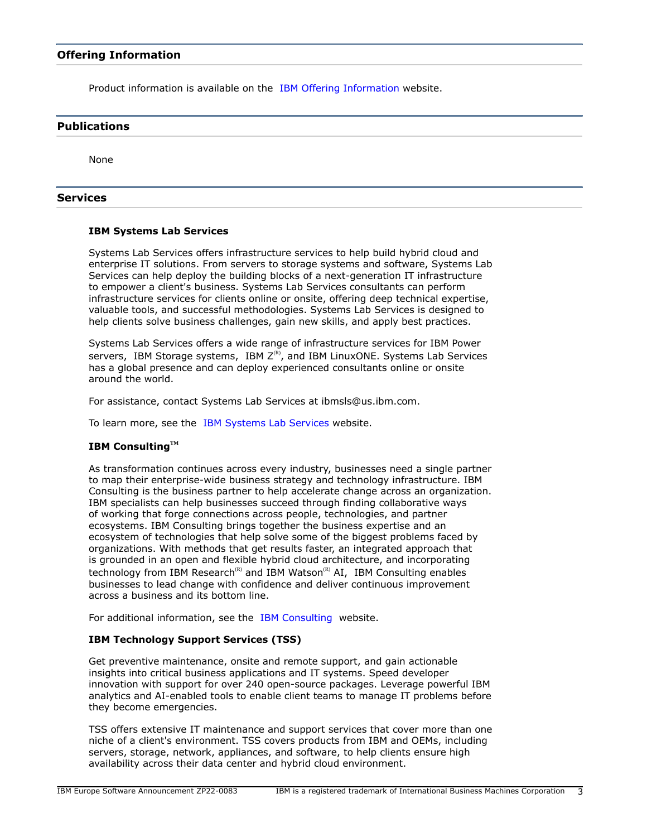## **Offering Information**

Product information is available on the [IBM Offering Information](http://www.ibm.com/common/ssi) website.

## <span id="page-2-0"></span>**Publications**

None

## **Services**

## **IBM Systems Lab Services**

Systems Lab Services offers infrastructure services to help build hybrid cloud and enterprise IT solutions. From servers to storage systems and software, Systems Lab Services can help deploy the building blocks of a next-generation IT infrastructure to empower a client's business. Systems Lab Services consultants can perform infrastructure services for clients online or onsite, offering deep technical expertise, valuable tools, and successful methodologies. Systems Lab Services is designed to help clients solve business challenges, gain new skills, and apply best practices.

Systems Lab Services offers a wide range of infrastructure services for IBM Power servers, IBM Storage systems, IBM  $Z^{(R)}$ , and IBM LinuxONE. Systems Lab Services has a global presence and can deploy experienced consultants online or onsite around the world.

For assistance, contact Systems Lab Services at ibmsls@us.ibm.com.

To learn more, see the [IBM Systems Lab Services](https://www.ibm.com/it-infrastructure/services/lab-services) website.

## **IBM ConsultingTM**

As transformation continues across every industry, businesses need a single partner to map their enterprise-wide business strategy and technology infrastructure. IBM Consulting is the business partner to help accelerate change across an organization. IBM specialists can help businesses succeed through finding collaborative ways of working that forge connections across people, technologies, and partner ecosystems. IBM Consulting brings together the business expertise and an ecosystem of technologies that help solve some of the biggest problems faced by organizations. With methods that get results faster, an integrated approach that is grounded in an open and flexible hybrid cloud architecture, and incorporating technology from IBM Research<sup>(R)</sup> and IBM Watson<sup>(R)</sup> AI, IBM Consulting enables businesses to lead change with confidence and deliver continuous improvement across a business and its bottom line.

For additional information, see the [IBM Consulting](https://www.ibm.com/consulting) website.

## **IBM Technology Support Services (TSS)**

Get preventive maintenance, onsite and remote support, and gain actionable insights into critical business applications and IT systems. Speed developer innovation with support for over 240 open-source packages. Leverage powerful IBM analytics and AI-enabled tools to enable client teams to manage IT problems before they become emergencies.

TSS offers extensive IT maintenance and support services that cover more than one niche of a client's environment. TSS covers products from IBM and OEMs, including servers, storage, network, appliances, and software, to help clients ensure high availability across their data center and hybrid cloud environment.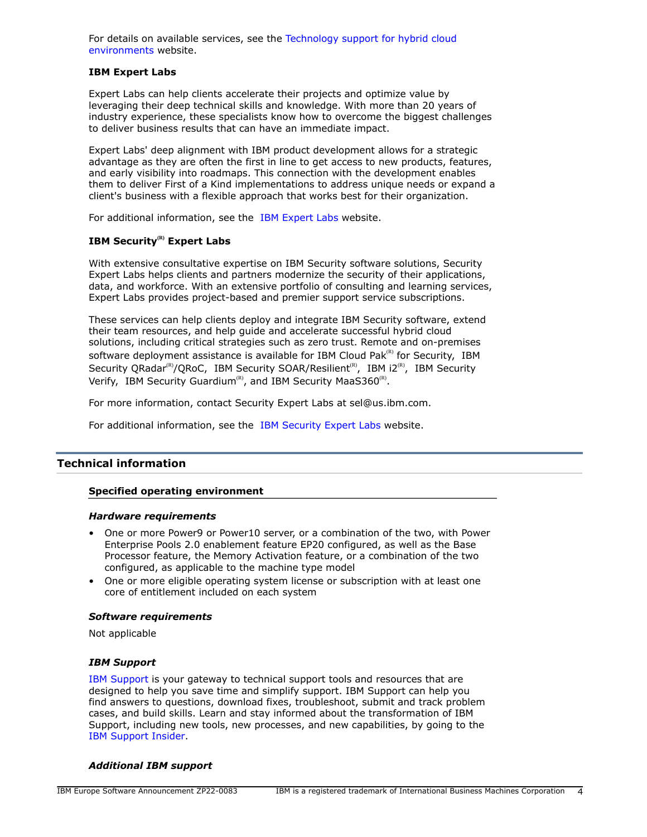For details on available services, see the [Technology support for hybrid cloud](https://www.ibm.com/services/technology-support) [environments](https://www.ibm.com/services/technology-support) website.

## **IBM Expert Labs**

Expert Labs can help clients accelerate their projects and optimize value by leveraging their deep technical skills and knowledge. With more than 20 years of industry experience, these specialists know how to overcome the biggest challenges to deliver business results that can have an immediate impact.

Expert Labs' deep alignment with IBM product development allows for a strategic advantage as they are often the first in line to get access to new products, features, and early visibility into roadmaps. This connection with the development enables them to deliver First of a Kind implementations to address unique needs or expand a client's business with a flexible approach that works best for their organization.

For additional information, see the [IBM Expert Labs](https://www.ibm.com/products/expertlabs) website.

## **IBM Security(R) Expert Labs**

With extensive consultative expertise on IBM Security software solutions, Security Expert Labs helps clients and partners modernize the security of their applications, data, and workforce. With an extensive portfolio of consulting and learning services, Expert Labs provides project-based and premier support service subscriptions.

These services can help clients deploy and integrate IBM Security software, extend their team resources, and help guide and accelerate successful hybrid cloud solutions, including critical strategies such as zero trust. Remote and on-premises software deployment assistance is available for IBM Cloud Pak ${}^{\text{\tiny(R)}}$  for Security, IBM Security QRadar<sup>(R)</sup>/QRoC, IBM Security SOAR/Resilient<sup>(R)</sup>, IBM i2<sup>(R)</sup>, IBM Security Verify, IBM Security Guardium<sup>(R)</sup>, and IBM Security MaaS360<sup>(R)</sup>.

For more information, contact Security Expert Labs at sel@us.ibm.com.

For additional information, see the [IBM Security Expert Labs](https://www.ibm.com/security/security-expert-labs) website.

## <span id="page-3-0"></span>**Technical information**

## **Specified operating environment**

#### *Hardware requirements*

- One or more Power9 or Power10 server, or a combination of the two, with Power Enterprise Pools 2.0 enablement feature EP20 configured, as well as the Base Processor feature, the Memory Activation feature, or a combination of the two configured, as applicable to the machine type model
- One or more eligible operating system license or subscription with at least one core of entitlement included on each system

## *Software requirements*

Not applicable

## *IBM Support*

[IBM Support](https://www.ibm.com/support) is your gateway to technical support tools and resources that are designed to help you save time and simplify support. IBM Support can help you find answers to questions, download fixes, troubleshoot, submit and track problem cases, and build skills. Learn and stay informed about the transformation of IBM Support, including new tools, new processes, and new capabilities, by going to the [IBM Support Insider](https://www.ibm.com/support/insider).

#### *Additional IBM support*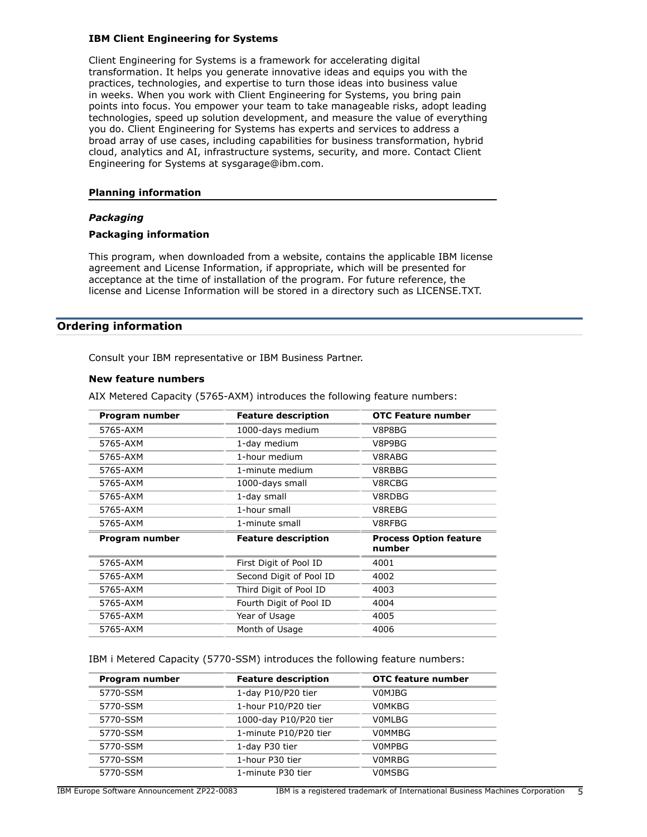## **IBM Client Engineering for Systems**

Client Engineering for Systems is a framework for accelerating digital transformation. It helps you generate innovative ideas and equips you with the practices, technologies, and expertise to turn those ideas into business value in weeks. When you work with Client Engineering for Systems, you bring pain points into focus. You empower your team to take manageable risks, adopt leading technologies, speed up solution development, and measure the value of everything you do. Client Engineering for Systems has experts and services to address a broad array of use cases, including capabilities for business transformation, hybrid cloud, analytics and AI, infrastructure systems, security, and more. Contact Client Engineering for Systems at sysgarage@ibm.com.

## **Planning information**

## *Packaging*

## **Packaging information**

This program, when downloaded from a website, contains the applicable IBM license agreement and License Information, if appropriate, which will be presented for acceptance at the time of installation of the program. For future reference, the license and License Information will be stored in a directory such as LICENSE.TXT.

## <span id="page-4-0"></span>**Ordering information**

Consult your IBM representative or IBM Business Partner.

#### **New feature numbers**

AIX Metered Capacity (5765-AXM) introduces the following feature numbers:

| Program number | <b>Feature description</b> | <b>OTC Feature number</b>               |
|----------------|----------------------------|-----------------------------------------|
| 5765-AXM       | 1000-days medium           | V8P8BG                                  |
| 5765-AXM       | 1-day medium               | V8P9BG                                  |
| 5765-AXM       | 1-hour medium              | V8RABG                                  |
| 5765-AXM       | 1-minute medium            | V8RBBG                                  |
| 5765-AXM       | 1000-days small            | V8RCBG                                  |
| 5765-AXM       | 1-day small                | V8RDBG                                  |
| 5765-AXM       | 1-hour small               | V8REBG                                  |
| 5765-AXM       | 1-minute small             | V8RFBG                                  |
| Program number | <b>Feature description</b> | <b>Process Option feature</b><br>number |
| 5765-AXM       | First Digit of Pool ID     | 4001                                    |
| 5765-AXM       | Second Digit of Pool ID    | 4002                                    |
| 5765-AXM       | Third Digit of Pool ID     | 4003                                    |
| 5765-AXM       | Fourth Digit of Pool ID    | 4004                                    |
| 5765-AXM       | Year of Usage              | 4005                                    |
| 5765-AXM       | Month of Usage             | 4006                                    |

IBM i Metered Capacity (5770-SSM) introduces the following feature numbers:

| Program number | <b>Feature description</b> | <b>OTC</b> feature number |
|----------------|----------------------------|---------------------------|
| 5770-SSM       | 1-day P10/P20 tier         | V0MJBG                    |
| 5770-SSM       | 1-hour P10/P20 tier        | <b>VOMKBG</b>             |
| 5770-SSM       | 1000-day P10/P20 tier      | <b>VOMLBG</b>             |
| 5770-SSM       | 1-minute P10/P20 tier      | V0MMBG                    |
| 5770-SSM       | 1-day P30 tier             | V0MPBG                    |
| 5770-SSM       | 1-hour P30 tier            | <b>VOMRBG</b>             |
| 5770-SSM       | 1-minute P30 tier          | V0MSBG                    |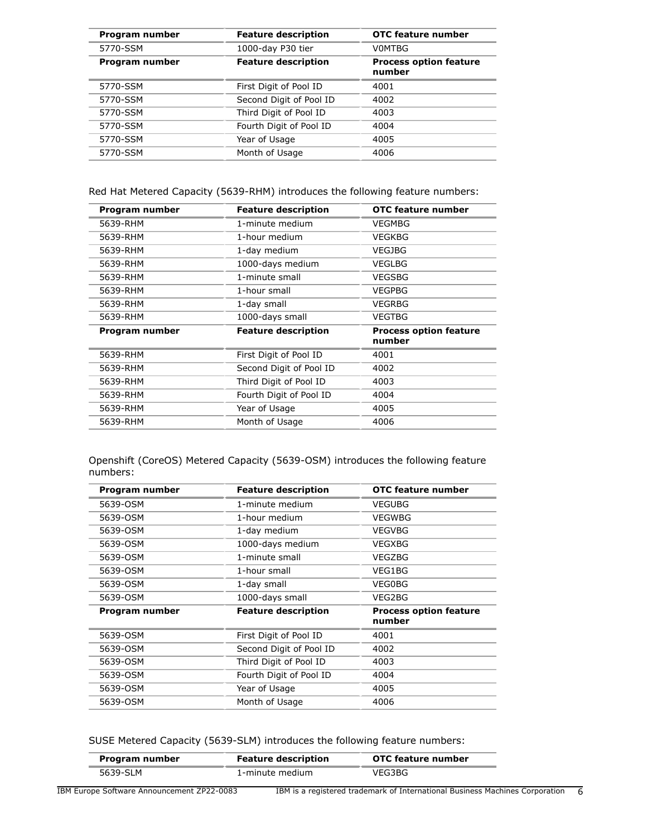| Program number | <b>Feature description</b> | <b>OTC</b> feature number               |
|----------------|----------------------------|-----------------------------------------|
| 5770-SSM       | 1000-day P30 tier          | V0MTBG                                  |
| Program number | <b>Feature description</b> | <b>Process option feature</b><br>number |
| 5770-SSM       | First Digit of Pool ID     | 4001                                    |
| 5770-SSM       | Second Digit of Pool ID    | 4002                                    |
| 5770-SSM       | Third Digit of Pool ID     | 4003                                    |
| 5770-SSM       | Fourth Digit of Pool ID    | 4004                                    |
| 5770-SSM       | Year of Usage              | 4005                                    |
| 5770-SSM       | Month of Usage             | 4006                                    |

Red Hat Metered Capacity (5639-RHM) introduces the following feature numbers:

| Program number | <b>Feature description</b> | OTC feature number                      |
|----------------|----------------------------|-----------------------------------------|
| 5639-RHM       | 1-minute medium            | <b>VEGMBG</b>                           |
| 5639-RHM       | 1-hour medium              | VEGKBG                                  |
| 5639-RHM       | 1-day medium               | <b>VEGJBG</b>                           |
| 5639-RHM       | 1000-days medium           | <b>VEGLBG</b>                           |
| 5639-RHM       | 1-minute small             | <b>VEGSBG</b>                           |
| 5639-RHM       | 1-hour small               | <b>VEGPBG</b>                           |
| 5639-RHM       | 1-day small                | VEGRBG                                  |
| 5639-RHM       | 1000-days small            | <b>VEGTBG</b>                           |
| Program number | <b>Feature description</b> | <b>Process option feature</b><br>number |
| 5639-RHM       | First Digit of Pool ID     | 4001                                    |
| 5639-RHM       | Second Digit of Pool ID    | 4002                                    |
| 5639-RHM       | Third Digit of Pool ID     | 4003                                    |
| 5639-RHM       | Fourth Digit of Pool ID    | 4004                                    |
| 5639-RHM       | Year of Usage              | 4005                                    |
| 5639-RHM       | Month of Usage             | 4006                                    |

Openshift (CoreOS) Metered Capacity (5639-OSM) introduces the following feature numbers:

| Program number | <b>Feature description</b> | OTC feature number                      |
|----------------|----------------------------|-----------------------------------------|
| 5639-OSM       | 1-minute medium            | <b>VEGUBG</b>                           |
| 5639-OSM       | 1-hour medium              | VEGWBG                                  |
| 5639-OSM       | 1-day medium               | <b>VEGVBG</b>                           |
| 5639-OSM       | 1000-days medium           | VEGXBG                                  |
| 5639-OSM       | 1-minute small             | VEGZBG                                  |
| 5639-OSM       | 1-hour small               | VEG1BG                                  |
| 5639-OSM       | 1-day small                | VEG0BG                                  |
| 5639-OSM       | 1000-days small            | VEG2BG                                  |
| Program number | <b>Feature description</b> | <b>Process option feature</b><br>number |
| 5639-OSM       | First Digit of Pool ID     | 4001                                    |
| 5639-OSM       | Second Digit of Pool ID    | 4002                                    |
| 5639-OSM       | Third Digit of Pool ID     | 4003                                    |
| 5639-OSM       | Fourth Digit of Pool ID    | 4004                                    |
| 5639-OSM       | Year of Usage              | 4005                                    |
| 5639-OSM       | Month of Usage             | 4006                                    |

SUSE Metered Capacity (5639-SLM) introduces the following feature numbers:

|      | OTC feature number | <b>Feature description</b> | Program number  |
|------|--------------------|----------------------------|-----------------|
|      | VEG3BG             | 1-minute medium            | 5639-SLM        |
| $ -$ | - - -              | -----                      | __<br>_________ |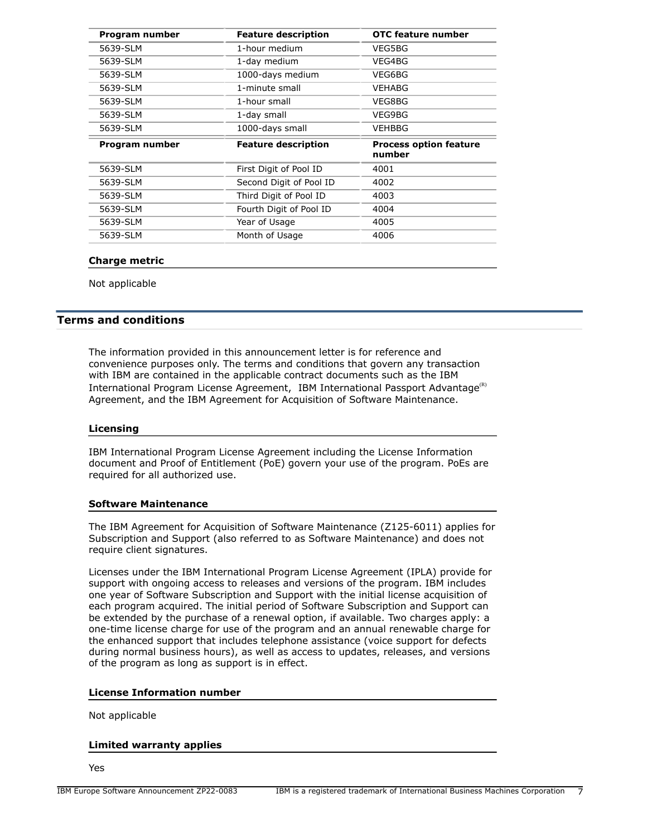| Program number | <b>Feature description</b> | <b>OTC feature number</b>               |
|----------------|----------------------------|-----------------------------------------|
| 5639-SLM       | 1-hour medium              | VEG5BG                                  |
| 5639-SLM       | 1-day medium               | VEG4BG                                  |
| 5639-SLM       | 1000-days medium           | VEG6BG                                  |
| 5639-SLM       | 1-minute small             | VEHABG                                  |
| 5639-SLM       | 1-hour small               | VEG8BG                                  |
| 5639-SLM       | 1-day small                | VEG9BG                                  |
| 5639-SLM       | 1000-days small            | VEHBBG                                  |
|                |                            |                                         |
| Program number | <b>Feature description</b> | <b>Process option feature</b><br>number |
| 5639-SLM       | First Digit of Pool ID     | 4001                                    |
| 5639-SLM       | Second Digit of Pool ID    | 4002                                    |
| 5639-SLM       | Third Digit of Pool ID     | 4003                                    |
| 5639-SLM       | Fourth Digit of Pool ID    | 4004                                    |
| 5639-SLM       | Year of Usage              | 4005                                    |

## **Charge metric**

Not applicable

## <span id="page-6-0"></span>**Terms and conditions**

The information provided in this announcement letter is for reference and convenience purposes only. The terms and conditions that govern any transaction with IBM are contained in the applicable contract documents such as the IBM International Program License Agreement, IBM International Passport Advantage<sup>(R)</sup> Agreement, and the IBM Agreement for Acquisition of Software Maintenance.

#### **Licensing**

IBM International Program License Agreement including the License Information document and Proof of Entitlement (PoE) govern your use of the program. PoEs are required for all authorized use.

## **Software Maintenance**

The IBM Agreement for Acquisition of Software Maintenance (Z125-6011) applies for Subscription and Support (also referred to as Software Maintenance) and does not require client signatures.

Licenses under the IBM International Program License Agreement (IPLA) provide for support with ongoing access to releases and versions of the program. IBM includes one year of Software Subscription and Support with the initial license acquisition of each program acquired. The initial period of Software Subscription and Support can be extended by the purchase of a renewal option, if available. Two charges apply: a one-time license charge for use of the program and an annual renewable charge for the enhanced support that includes telephone assistance (voice support for defects during normal business hours), as well as access to updates, releases, and versions of the program as long as support is in effect.

## **License Information number**

Not applicable

#### **Limited warranty applies**

Yes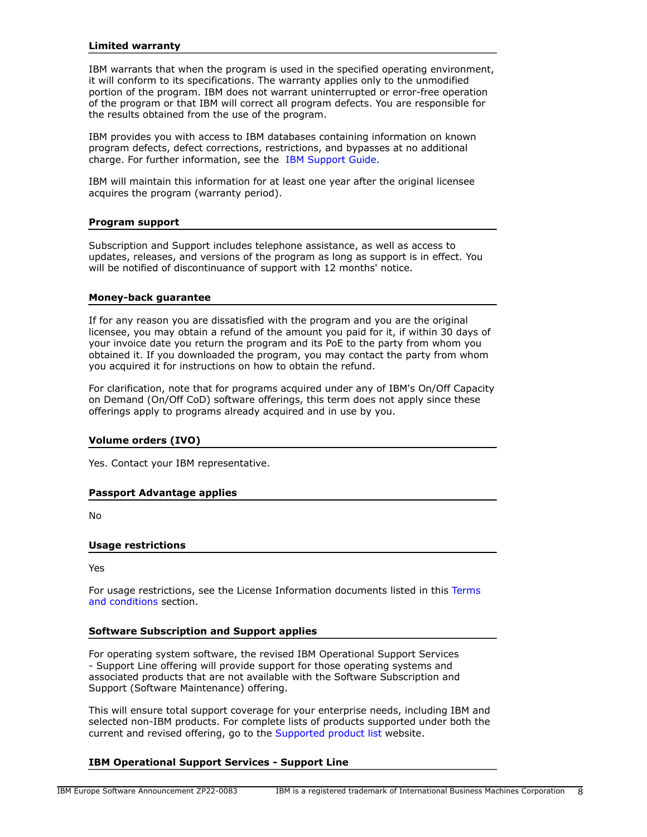## **Limited warranty**

IBM warrants that when the program is used in the specified operating environment, it will conform to its specifications. The warranty applies only to the unmodified portion of the program. IBM does not warrant uninterrupted or error-free operation of the program or that IBM will correct all program defects. You are responsible for the results obtained from the use of the program.

IBM provides you with access to IBM databases containing information on known program defects, defect corrections, restrictions, and bypasses at no additional charge. For further information, see the [IBM Support Guide](http://www.ibm.com/support/customercare/sas/f/handbook/home.html).

IBM will maintain this information for at least one year after the original licensee acquires the program (warranty period).

#### **Program support**

Subscription and Support includes telephone assistance, as well as access to updates, releases, and versions of the program as long as support is in effect. You will be notified of discontinuance of support with 12 months' notice.

#### **Money-back guarantee**

If for any reason you are dissatisfied with the program and you are the original licensee, you may obtain a refund of the amount you paid for it, if within 30 days of your invoice date you return the program and its PoE to the party from whom you obtained it. If you downloaded the program, you may contact the party from whom you acquired it for instructions on how to obtain the refund.

For clarification, note that for programs acquired under any of IBM's On/Off Capacity on Demand (On/Off CoD) software offerings, this term does not apply since these offerings apply to programs already acquired and in use by you.

## **Volume orders (IVO)**

Yes. Contact your IBM representative.

## **Passport Advantage applies**

No

## **Usage restrictions**

Yes

For usage restrictions, see the License Information documents listed in this [Terms](#page-6-0) [and conditions](#page-6-0) section.

## **Software Subscription and Support applies**

For operating system software, the revised IBM Operational Support Services - Support Line offering will provide support for those operating systems and associated products that are not available with the Software Subscription and Support (Software Maintenance) offering.

This will ensure total support coverage for your enterprise needs, including IBM and selected non-IBM products. For complete lists of products supported under both the current and revised offering, go to the [Supported product list](http://www-03.ibm.com/services/supline/products/index.html) website.

## **IBM Operational Support Services - Support Line**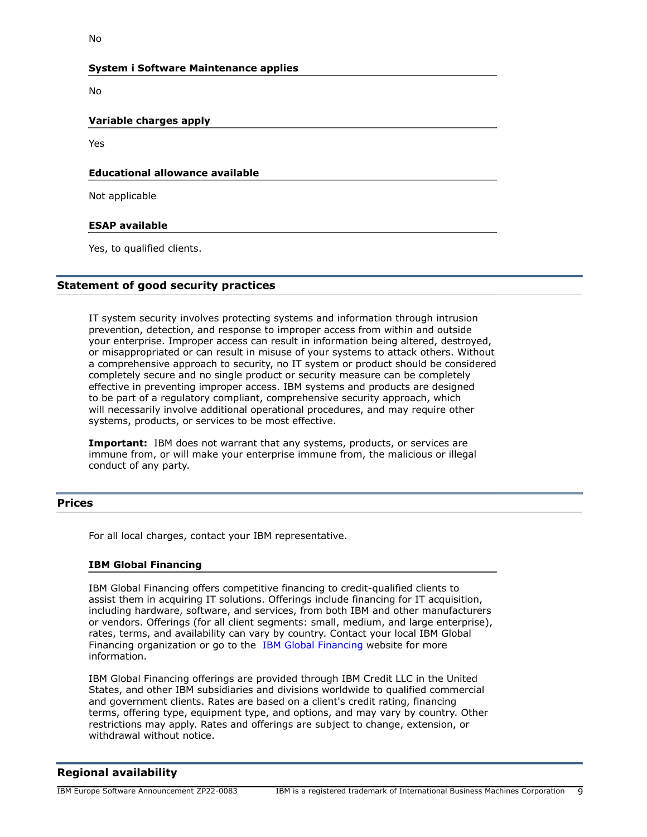## **System i Software Maintenance applies**

No

# **Variable charges apply**

Yes

# **Educational allowance available**

Not applicable

## **ESAP available**

Yes, to qualified clients.

# **Statement of good security practices**

IT system security involves protecting systems and information through intrusion prevention, detection, and response to improper access from within and outside your enterprise. Improper access can result in information being altered, destroyed, or misappropriated or can result in misuse of your systems to attack others. Without a comprehensive approach to security, no IT system or product should be considered completely secure and no single product or security measure can be completely effective in preventing improper access. IBM systems and products are designed to be part of a regulatory compliant, comprehensive security approach, which will necessarily involve additional operational procedures, and may require other systems, products, or services to be most effective.

**Important:** IBM does not warrant that any systems, products, or services are immune from, or will make your enterprise immune from, the malicious or illegal conduct of any party.

## <span id="page-8-0"></span>**Prices**

For all local charges, contact your IBM representative.

## **IBM Global Financing**

IBM Global Financing offers competitive financing to credit-qualified clients to assist them in acquiring IT solutions. Offerings include financing for IT acquisition, including hardware, software, and services, from both IBM and other manufacturers or vendors. Offerings (for all client segments: small, medium, and large enterprise), rates, terms, and availability can vary by country. Contact your local IBM Global Financing organization or go to the [IBM Global Financing](http://www.ibm.com/financing) website for more information.

IBM Global Financing offerings are provided through IBM Credit LLC in the United States, and other IBM subsidiaries and divisions worldwide to qualified commercial and government clients. Rates are based on a client's credit rating, financing terms, offering type, equipment type, and options, and may vary by country. Other restrictions may apply. Rates and offerings are subject to change, extension, or withdrawal without notice.

# <span id="page-8-1"></span>**Regional availability**